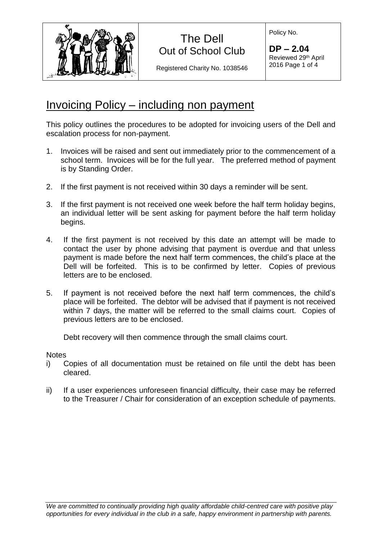

Registered Charity No. 1038546

Policy No.

**DP – 2.04** Reviewed 29th April 2016 Page 1 of 4

### Invoicing Policy – including non payment

This policy outlines the procedures to be adopted for invoicing users of the Dell and escalation process for non-payment.

- 1. Invoices will be raised and sent out immediately prior to the commencement of a school term. Invoices will be for the full year. The preferred method of payment is by Standing Order.
- 2. If the first payment is not received within 30 days a reminder will be sent.
- 3. If the first payment is not received one week before the half term holiday begins, an individual letter will be sent asking for payment before the half term holiday begins.
- 4. If the first payment is not received by this date an attempt will be made to contact the user by phone advising that payment is overdue and that unless payment is made before the next half term commences, the child's place at the Dell will be forfeited. This is to be confirmed by letter. Copies of previous letters are to be enclosed.
- 5. If payment is not received before the next half term commences, the child's place will be forfeited. The debtor will be advised that if payment is not received within 7 days, the matter will be referred to the small claims court. Copies of previous letters are to be enclosed.

Debt recovery will then commence through the small claims court.

**Notes** 

- i) Copies of all documentation must be retained on file until the debt has been cleared.
- ii) If a user experiences unforeseen financial difficulty, their case may be referred to the Treasurer / Chair for consideration of an exception schedule of payments.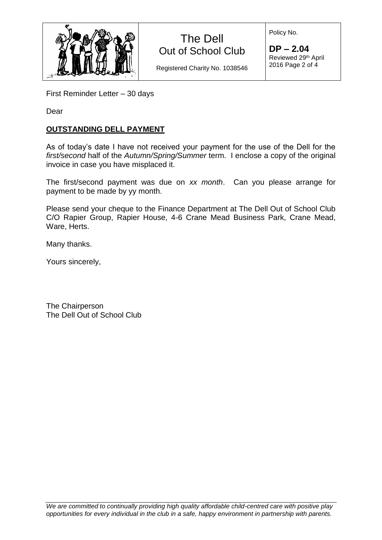

Registered Charity No. 1038546

Policy No.

**DP – 2.04** Reviewed 29th April 2016 Page 2 of 4

First Reminder Letter – 30 days

Dear

### **OUTSTANDING DELL PAYMENT**

As of today's date I have not received your payment for the use of the Dell for the *first/second* half of the *Autumn/Spring/Summer* term. I enclose a copy of the original invoice in case you have misplaced it.

The first/second payment was due on *xx month*. Can you please arrange for payment to be made by yy month.

Please send your cheque to the Finance Department at The Dell Out of School Club C/O Rapier Group, Rapier House, 4-6 Crane Mead Business Park, Crane Mead, Ware, Herts.

Many thanks.

Yours sincerely,

The Chairperson The Dell Out of School Club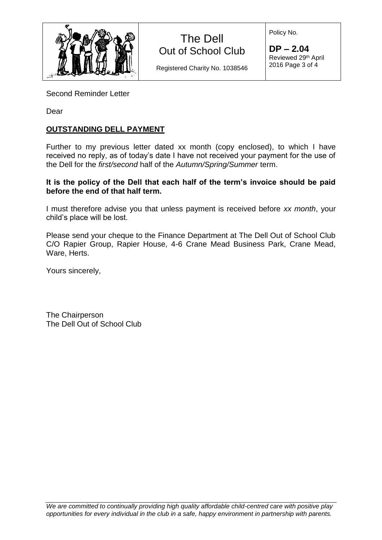

Registered Charity No. 1038546

**DP – 2.04** Reviewed 29th April 2016 Page 3 of 4

Policy No.

Second Reminder Letter

Dear

### **OUTSTANDING DELL PAYMENT**

Further to my previous letter dated xx month (copy enclosed), to which I have received no reply, as of today's date I have not received your payment for the use of the Dell for the *first/second* half of the *Autumn/Spring/Summer* term.

#### **It is the policy of the Dell that each half of the term's invoice should be paid before the end of that half term.**

I must therefore advise you that unless payment is received before *xx month*, your child's place will be lost.

Please send your cheque to the Finance Department at The Dell Out of School Club C/O Rapier Group, Rapier House, 4-6 Crane Mead Business Park, Crane Mead, Ware, Herts.

Yours sincerely,

The Chairperson The Dell Out of School Club